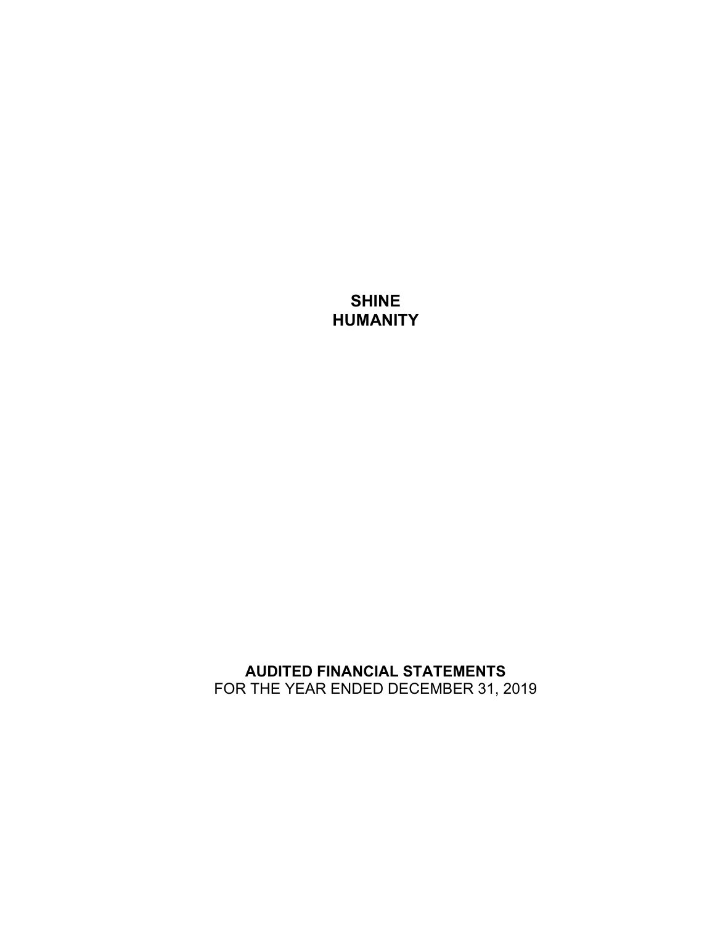# **SHINE HUMANITY**

**AUDITED FINANCIAL STATEMENTS** FOR THE YEAR ENDED DECEMBER 31, 2019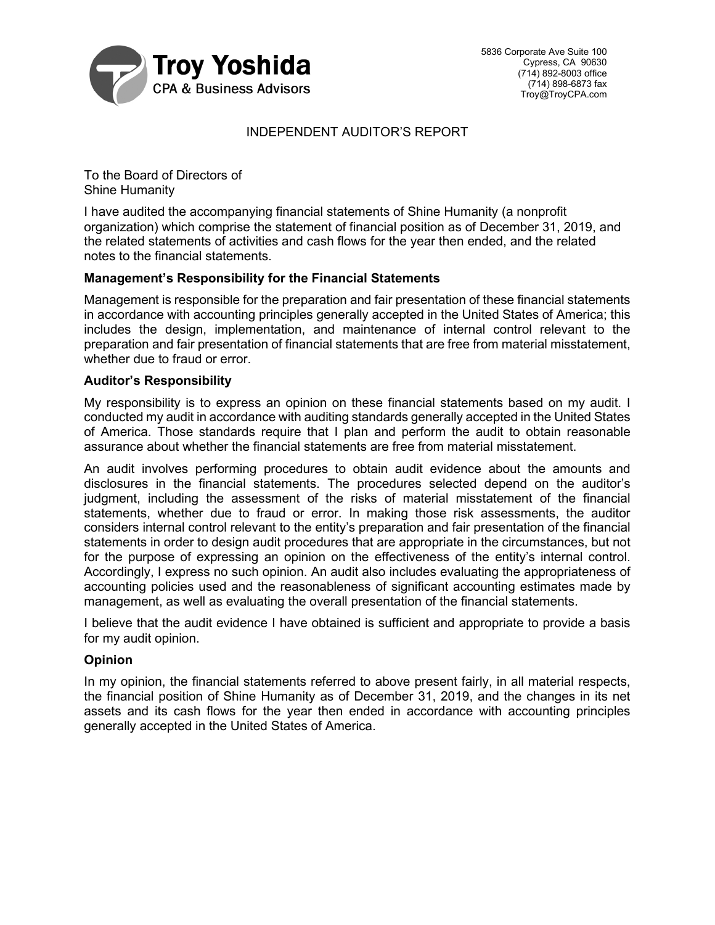

## INDEPENDENT AUDITOR'S REPORT

To the Board of Directors of Shine Humanity

I have audited the accompanying financial statements of Shine Humanity (a nonprofit organization) which comprise the statement of financial position as of December 31, 2019, and the related statements of activities and cash flows for the year then ended, and the related notes to the financial statements.

## **Management's Responsibility for the Financial Statements**

Management is responsible for the preparation and fair presentation of these financial statements in accordance with accounting principles generally accepted in the United States of America; this includes the design, implementation, and maintenance of internal control relevant to the preparation and fair presentation of financial statements that are free from material misstatement, whether due to fraud or error.

## **Auditor's Responsibility**

My responsibility is to express an opinion on these financial statements based on my audit. I conducted my audit in accordance with auditing standards generally accepted in the United States of America. Those standards require that I plan and perform the audit to obtain reasonable assurance about whether the financial statements are free from material misstatement.

An audit involves performing procedures to obtain audit evidence about the amounts and disclosures in the financial statements. The procedures selected depend on the auditor's judgment, including the assessment of the risks of material misstatement of the financial statements, whether due to fraud or error. In making those risk assessments, the auditor considers internal control relevant to the entity's preparation and fair presentation of the financial statements in order to design audit procedures that are appropriate in the circumstances, but not for the purpose of expressing an opinion on the effectiveness of the entity's internal control. Accordingly, I express no such opinion. An audit also includes evaluating the appropriateness of accounting policies used and the reasonableness of significant accounting estimates made by management, as well as evaluating the overall presentation of the financial statements.

I believe that the audit evidence I have obtained is sufficient and appropriate to provide a basis for my audit opinion.

## **Opinion**

In my opinion, the financial statements referred to above present fairly, in all material respects, the financial position of Shine Humanity as of December 31, 2019, and the changes in its net assets and its cash flows for the year then ended in accordance with accounting principles generally accepted in the United States of America.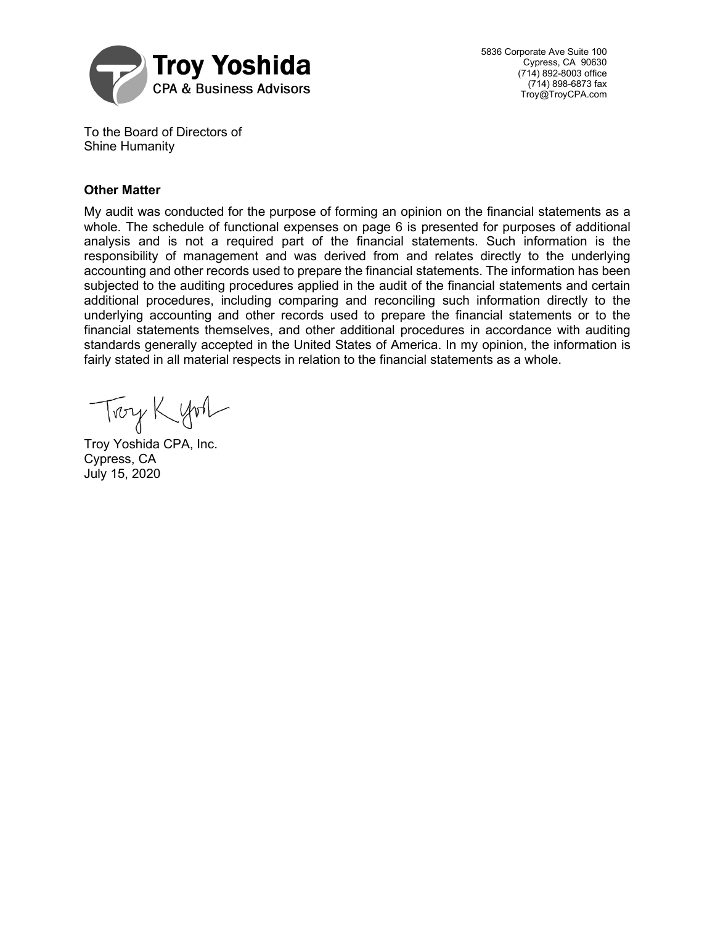

5836 Corporate Ave Suite 100 Cypress, CA 90630 (714) 892-8003 office (714) 898-6873 fax Troy@TroyCPA.com

To the Board of Directors of Shine Humanity

## **Other Matter**

My audit was conducted for the purpose of forming an opinion on the financial statements as a whole. The schedule of functional expenses on page 6 is presented for purposes of additional analysis and is not a required part of the financial statements. Such information is the responsibility of management and was derived from and relates directly to the underlying accounting and other records used to prepare the financial statements. The information has been subjected to the auditing procedures applied in the audit of the financial statements and certain additional procedures, including comparing and reconciling such information directly to the underlying accounting and other records used to prepare the financial statements or to the financial statements themselves, and other additional procedures in accordance with auditing standards generally accepted in the United States of America. In my opinion, the information is fairly stated in all material respects in relation to the financial statements as a whole.

Troy Kyon

Troy Yoshida CPA, Inc. Cypress, CA July 15, 2020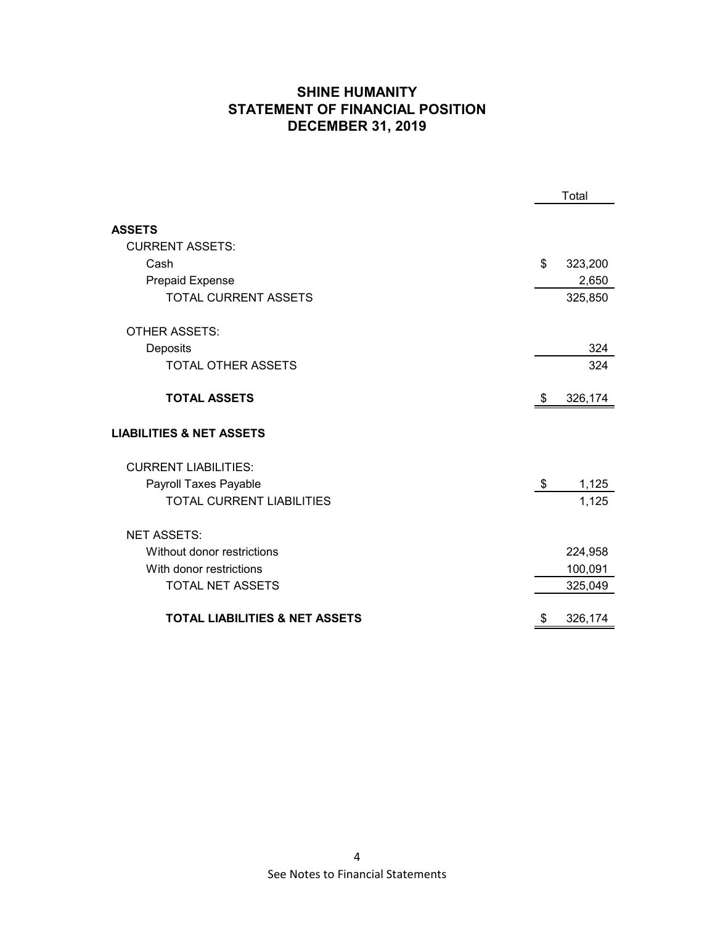## **SHINE HUMANITY STATEMENT OF FINANCIAL POSITION DECEMBER 31, 2019**

|                                           | Total         |
|-------------------------------------------|---------------|
|                                           |               |
| <b>ASSETS</b>                             |               |
| <b>CURRENT ASSETS:</b>                    |               |
| Cash                                      | \$<br>323,200 |
| <b>Prepaid Expense</b>                    | 2,650         |
| <b>TOTAL CURRENT ASSETS</b>               | 325,850       |
| <b>OTHER ASSETS:</b>                      |               |
| Deposits                                  | 324           |
| <b>TOTAL OTHER ASSETS</b>                 | 324           |
| <b>TOTAL ASSETS</b>                       | \$<br>326,174 |
| <b>LIABILITIES &amp; NET ASSETS</b>       |               |
| <b>CURRENT LIABILITIES:</b>               |               |
| Payroll Taxes Payable                     | \$<br>1,125   |
| <b>TOTAL CURRENT LIABILITIES</b>          | 1,125         |
| <b>NET ASSETS:</b>                        |               |
| Without donor restrictions                | 224,958       |
| With donor restrictions                   | 100,091       |
| TOTAL NET ASSETS                          | 325,049       |
| <b>TOTAL LIABILITIES &amp; NET ASSETS</b> | \$<br>326,174 |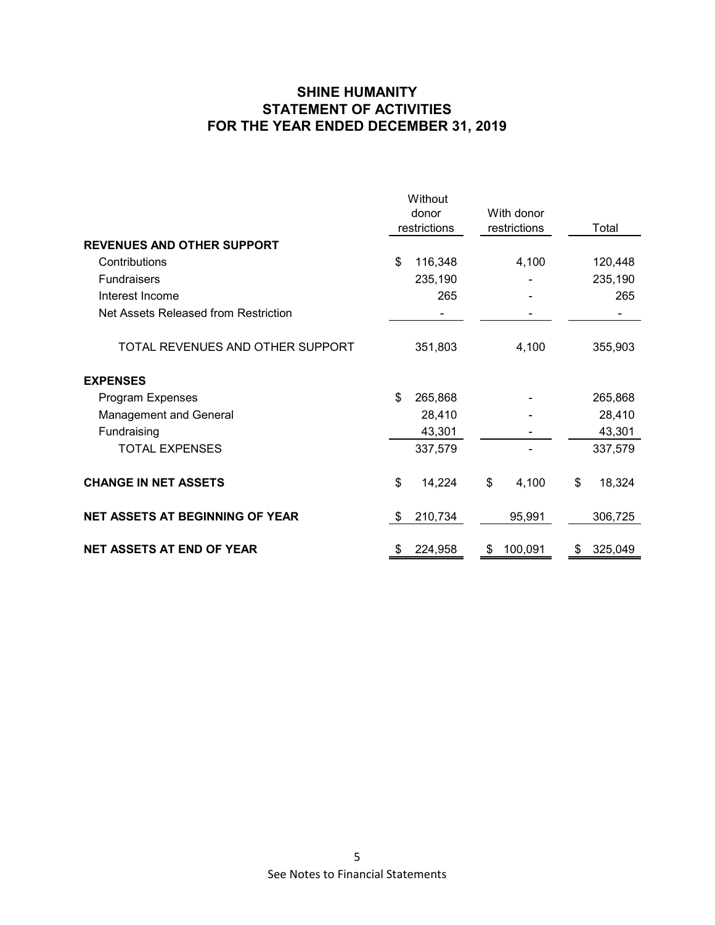## **SHINE HUMANITY STATEMENT OF ACTIVITIES FOR THE YEAR ENDED DECEMBER 31, 2019**

|                                        |     | Without      |               |               |
|----------------------------------------|-----|--------------|---------------|---------------|
|                                        |     | donor        | With donor    |               |
|                                        |     | restrictions | restrictions  | Total         |
| <b>REVENUES AND OTHER SUPPORT</b>      |     |              |               |               |
| Contributions                          | \$  | 116,348      | 4,100         | 120,448       |
| <b>Fundraisers</b>                     |     | 235,190      |               | 235,190       |
| Interest Income                        |     | 265          |               | 265           |
| Net Assets Released from Restriction   |     |              |               |               |
| TOTAL REVENUES AND OTHER SUPPORT       |     | 351,803      | 4,100         | 355,903       |
| <b>EXPENSES</b>                        |     |              |               |               |
| Program Expenses                       | \$  | 265,868      |               | 265,868       |
| <b>Management and General</b>          |     | 28,410       |               | 28,410        |
| Fundraising                            |     | 43,301       |               | 43,301        |
| <b>TOTAL EXPENSES</b>                  |     | 337,579      |               | 337,579       |
| <b>CHANGE IN NET ASSETS</b>            | \$  | 14,224       | \$<br>4,100   | \$<br>18,324  |
| <b>NET ASSETS AT BEGINNING OF YEAR</b> | -\$ | 210,734      | 95,991        | 306,725       |
| <b>NET ASSETS AT END OF YEAR</b>       | \$  | 224,958      | \$<br>100,091 | \$<br>325,049 |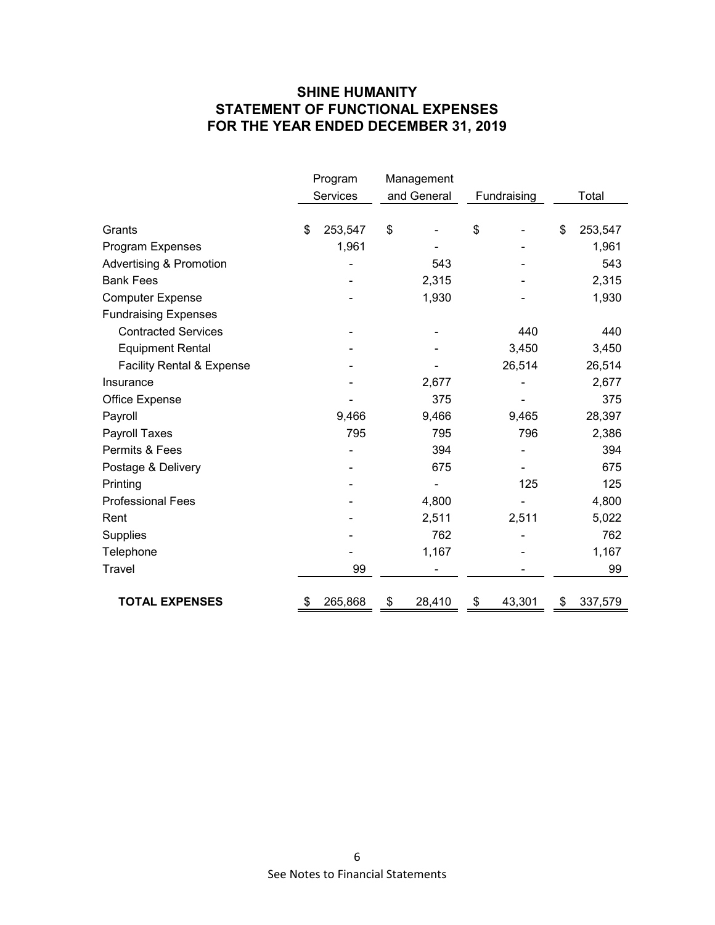## **SHINE HUMANITY STATEMENT OF FUNCTIONAL EXPENSES FOR THE YEAR ENDED DECEMBER 31, 2019**

|                                    | Program       | Management  |        |             |        |       |         |
|------------------------------------|---------------|-------------|--------|-------------|--------|-------|---------|
|                                    | Services      | and General |        | Fundraising |        | Total |         |
|                                    |               |             |        |             |        |       |         |
| Grants                             | \$<br>253,547 | \$          |        | \$          |        | \$    | 253,547 |
| Program Expenses                   | 1,961         |             |        |             |        |       | 1,961   |
| <b>Advertising &amp; Promotion</b> |               |             | 543    |             |        |       | 543     |
| <b>Bank Fees</b>                   |               |             | 2,315  |             |        |       | 2,315   |
| <b>Computer Expense</b>            |               |             | 1,930  |             |        |       | 1,930   |
| <b>Fundraising Expenses</b>        |               |             |        |             |        |       |         |
| <b>Contracted Services</b>         |               |             |        |             | 440    |       | 440     |
| <b>Equipment Rental</b>            |               |             |        |             | 3,450  |       | 3,450   |
| Facility Rental & Expense          |               |             |        |             | 26,514 |       | 26,514  |
| Insurance                          |               |             | 2,677  |             |        |       | 2,677   |
| Office Expense                     |               |             | 375    |             |        |       | 375     |
| Payroll                            | 9,466         |             | 9,466  |             | 9,465  |       | 28,397  |
| Payroll Taxes                      | 795           |             | 795    |             | 796    |       | 2,386   |
| Permits & Fees                     |               |             | 394    |             |        |       | 394     |
| Postage & Delivery                 |               |             | 675    |             |        |       | 675     |
| Printing                           |               |             |        |             | 125    |       | 125     |
| <b>Professional Fees</b>           |               |             | 4,800  |             |        |       | 4,800   |
| Rent                               |               |             | 2,511  |             | 2,511  |       | 5,022   |
| <b>Supplies</b>                    |               |             | 762    |             |        |       | 762     |
| Telephone                          |               |             | 1,167  |             |        |       | 1,167   |
| Travel                             | 99            |             |        |             |        |       | 99      |
|                                    |               |             |        |             |        |       |         |
| <b>TOTAL EXPENSES</b>              | \$<br>265,868 | \$          | 28,410 | \$          | 43,301 | \$    | 337,579 |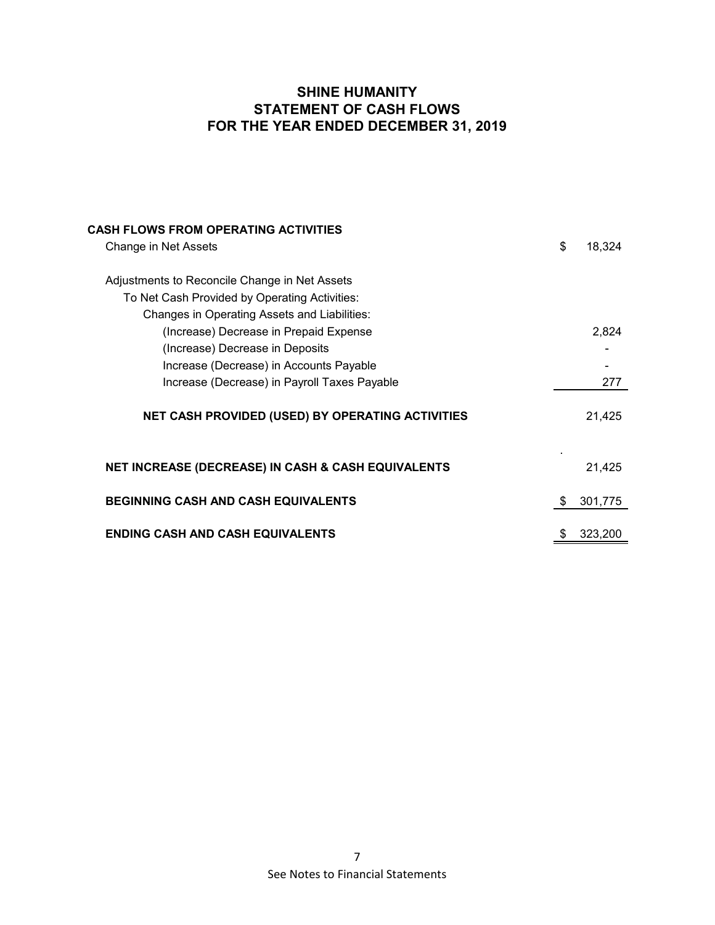## **SHINE HUMANITY STATEMENT OF CASH FLOWS FOR THE YEAR ENDED DECEMBER 31, 2019**

| <b>CASH FLOWS FROM OPERATING ACTIVITIES</b>                   |    |         |
|---------------------------------------------------------------|----|---------|
| Change in Net Assets                                          | \$ | 18,324  |
|                                                               |    |         |
| Adjustments to Reconcile Change in Net Assets                 |    |         |
| To Net Cash Provided by Operating Activities:                 |    |         |
| Changes in Operating Assets and Liabilities:                  |    |         |
| (Increase) Decrease in Prepaid Expense                        |    | 2,824   |
| (Increase) Decrease in Deposits                               |    |         |
| Increase (Decrease) in Accounts Payable                       |    |         |
| Increase (Decrease) in Payroll Taxes Payable                  |    | 277     |
| NET CASH PROVIDED (USED) BY OPERATING ACTIVITIES              |    | 21,425  |
| <b>NET INCREASE (DECREASE) IN CASH &amp; CASH EQUIVALENTS</b> |    | 21,425  |
| <b>BEGINNING CASH AND CASH EQUIVALENTS</b>                    | S  | 301,775 |
| <b>ENDING CASH AND CASH EQUIVALENTS</b>                       |    | 323,200 |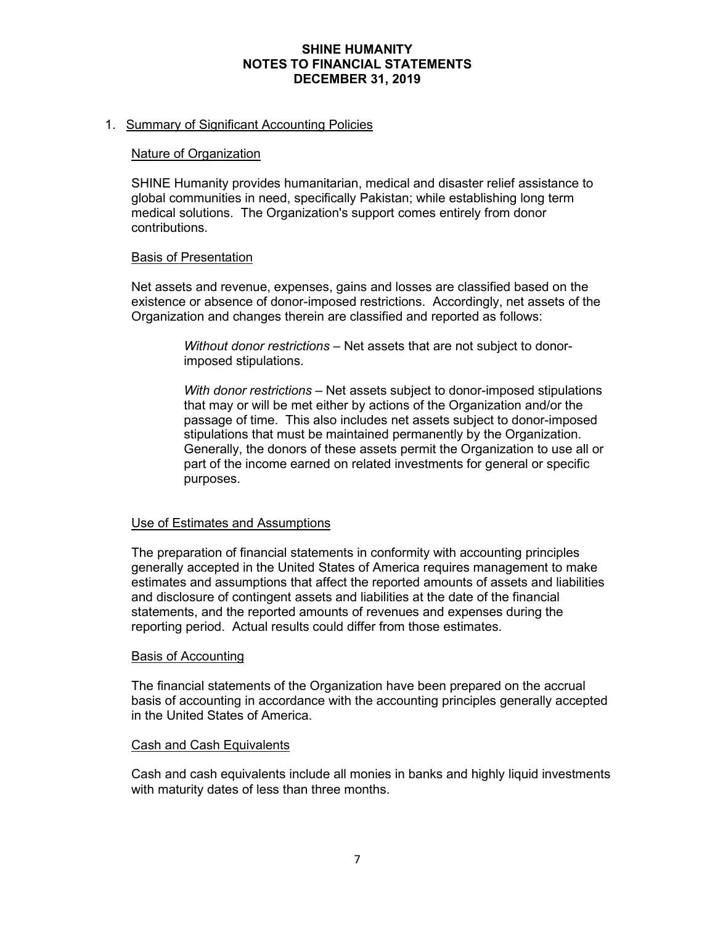### 1. Summary of Significant Accounting Policies

#### Nature of Organization

SHINE Humanity provides humanitarian, medical and disaster relief assistance to global communities in need, specifically Pakistan; while establishing long term medical solutions. The Organization's support comes entirely from donor contributions.

#### Basis of Presentation

Net assets and revenue, expenses, gains and losses are classified based on the existence or absence of donor-imposed restrictions. Accordingly, net assets of the Organization and changes therein are classified and reported as follows:

> *Without donor restrictions* – Net assets that are not subject to donorimposed stipulations.

*With donor restrictions* – Net assets subject to donor-imposed stipulations that may or will be met either by actions of the Organization and/or the passage of time. This also includes net assets subject to donor-imposed stipulations that must be maintained permanently by the Organization. Generally, the donors of these assets permit the Organization to use all or part of the income earned on related investments for general or specific purposes.

#### Use of Estimates and Assumptions

The preparation of financial statements in conformity with accounting principles generally accepted in the United States of America requires management to make estimates and assumptions that affect the reported amounts of assets and liabilities and disclosure of contingent assets and liabilities at the date of the financial statements, and the reported amounts of revenues and expenses during the reporting period. Actual results could differ from those estimates.

#### Basis of Accounting

The financial statements of the Organization have been prepared on the accrual basis of accounting in accordance with the accounting principles generally accepted in the United States of America.

#### **Cash and Cash Equivalents**

Cash and cash equivalents include all monies in banks and highly liquid investments with maturity dates of less than three months.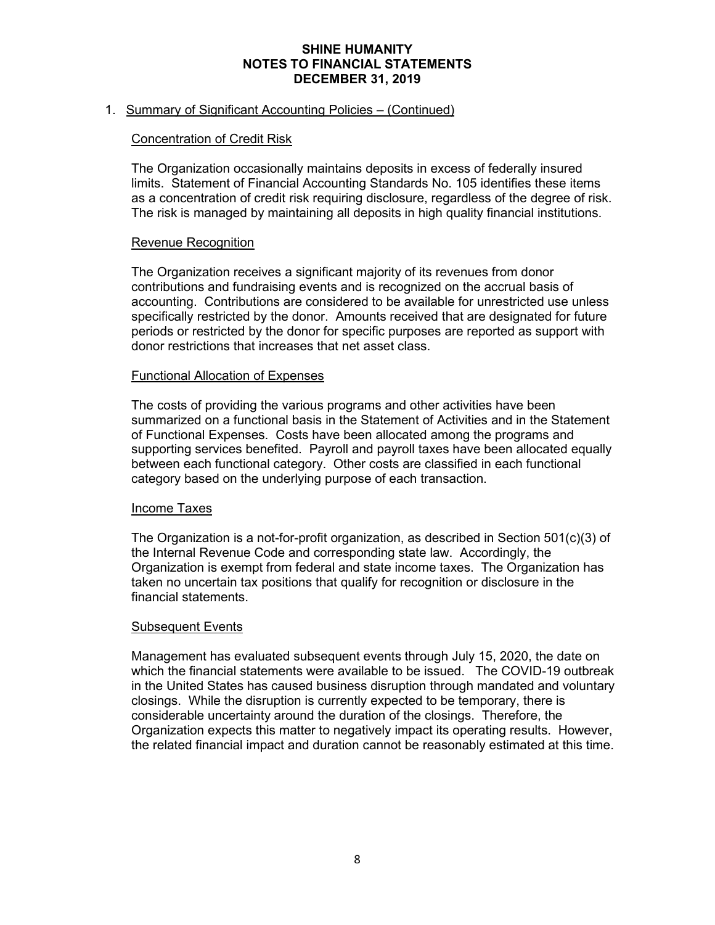## 1. Summary of Significant Accounting Policies – (Continued)

#### Concentration of Credit Risk

The Organization occasionally maintains deposits in excess of federally insured limits. Statement of Financial Accounting Standards No. 105 identifies these items as a concentration of credit risk requiring disclosure, regardless of the degree of risk. The risk is managed by maintaining all deposits in high quality financial institutions.

#### Revenue Recognition

The Organization receives a significant majority of its revenues from donor contributions and fundraising events and is recognized on the accrual basis of accounting. Contributions are considered to be available for unrestricted use unless specifically restricted by the donor. Amounts received that are designated for future periods or restricted by the donor for specific purposes are reported as support with donor restrictions that increases that net asset class.

#### Functional Allocation of Expenses

The costs of providing the various programs and other activities have been summarized on a functional basis in the Statement of Activities and in the Statement of Functional Expenses. Costs have been allocated among the programs and supporting services benefited. Payroll and payroll taxes have been allocated equally between each functional category. Other costs are classified in each functional category based on the underlying purpose of each transaction.

#### Income Taxes

The Organization is a not-for-profit organization, as described in Section 501(c)(3) of the Internal Revenue Code and corresponding state law. Accordingly, the Organization is exempt from federal and state income taxes. The Organization has taken no uncertain tax positions that qualify for recognition or disclosure in the financial statements.

#### Subsequent Events

Management has evaluated subsequent events through July 15, 2020, the date on which the financial statements were available to be issued. The COVID-19 outbreak in the United States has caused business disruption through mandated and voluntary closings. While the disruption is currently expected to be temporary, there is considerable uncertainty around the duration of the closings. Therefore, the Organization expects this matter to negatively impact its operating results. However, the related financial impact and duration cannot be reasonably estimated at this time.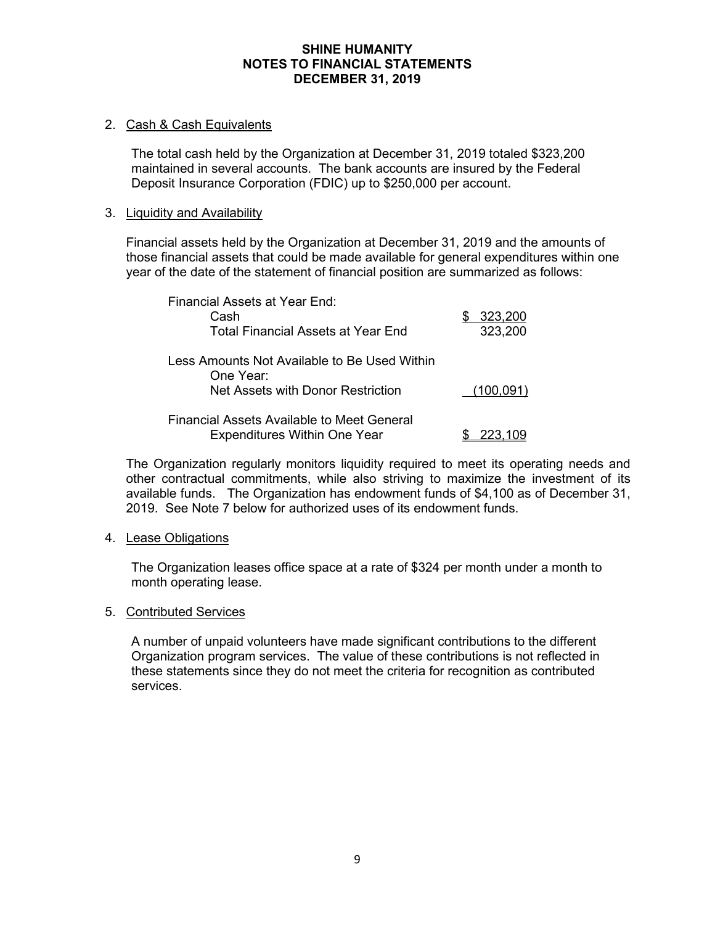## 2. Cash & Cash Equivalents

The total cash held by the Organization at December 31, 2019 totaled \$323,200 maintained in several accounts. The bank accounts are insured by the Federal Deposit Insurance Corporation (FDIC) up to \$250,000 per account.

### 3. Liquidity and Availability

Financial assets held by the Organization at December 31, 2019 and the amounts of those financial assets that could be made available for general expenditures within one year of the date of the statement of financial position are summarized as follows:

| Financial Assets at Year End:<br>Cash<br>Total Financial Assets at Year End                    | 323,200<br>323,200 |
|------------------------------------------------------------------------------------------------|--------------------|
| Less Amounts Not Available to Be Used Within<br>One Year:<br>Net Assets with Donor Restriction | (100.091)          |
| Financial Assets Available to Meet General<br><b>Expenditures Within One Year</b>              |                    |

The Organization regularly monitors liquidity required to meet its operating needs and other contractual commitments, while also striving to maximize the investment of its available funds. The Organization has endowment funds of \$4,100 as of December 31, 2019. See Note 7 below for authorized uses of its endowment funds.

#### 4. Lease Obligations

The Organization leases office space at a rate of \$324 per month under a month to month operating lease.

## 5. Contributed Services

A number of unpaid volunteers have made significant contributions to the different Organization program services. The value of these contributions is not reflected in these statements since they do not meet the criteria for recognition as contributed services.